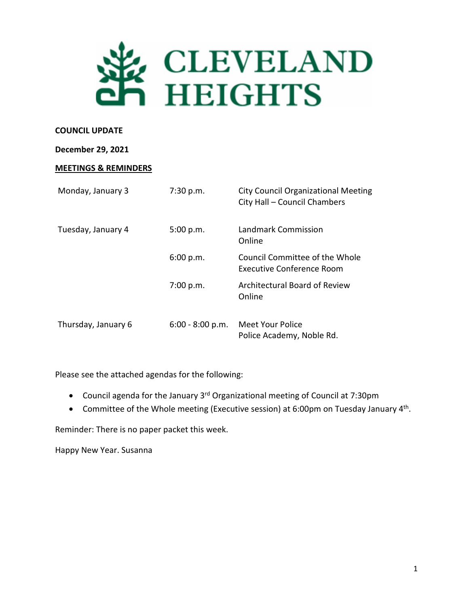

#### **COUNCIL UPDATE**

#### **December 29, 2021**

#### **MEETINGS & REMINDERS**

| Monday, January 3   | 7:30 p.m.          | City Council Organizational Meeting<br>City Hall - Council Chambers |
|---------------------|--------------------|---------------------------------------------------------------------|
| Tuesday, January 4  | 5:00 p.m.          | Landmark Commission<br>Online                                       |
|                     | 6:00 p.m.          | Council Committee of the Whole<br><b>Executive Conference Room</b>  |
|                     | 7:00 p.m.          | Architectural Board of Review<br>Online                             |
| Thursday, January 6 | $6:00 - 8:00 p.m.$ | Meet Your Police<br>Police Academy, Noble Rd.                       |

Please see the attached agendas for the following:

- Council agenda for the January 3rd Organizational meeting of Council at 7:30pm
- Committee of the Whole meeting (Executive session) at 6:00pm on Tuesday January  $4^{th}$ .

Reminder: There is no paper packet this week.

Happy New Year. Susanna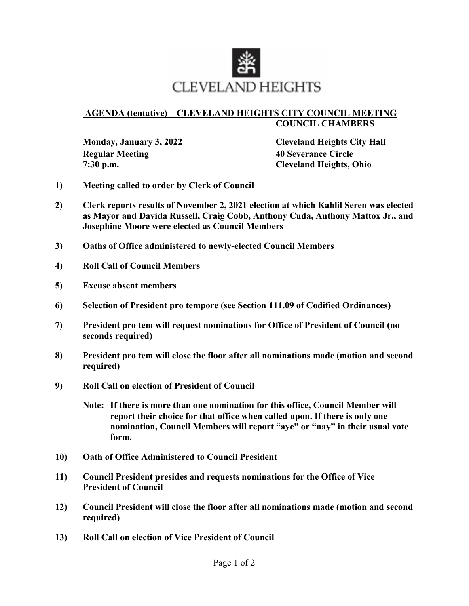

#### **AGENDA (tentative) – CLEVELAND HEIGHTS CITY COUNCIL MEETING COUNCIL CHAMBERS**

 **Regular Meeting 40 Severance Circle 7:30 p.m. Cleveland Heights, Ohio** 

**Monday, January 3, 2022 Cleveland Heights City Hall**

- **1) Meeting called to order by Clerk of Council**
- **2) Clerk reports results of November 2, 2021 election at which Kahlil Seren was elected as Mayor and Davida Russell, Craig Cobb, Anthony Cuda, Anthony Mattox Jr., and Josephine Moore were elected as Council Members**
- **3) Oaths of Office administered to newly-elected Council Members**
- **4) Roll Call of Council Members**
- **5) Excuse absent members**
- **6) Selection of President pro tempore (see Section 111.09 of Codified Ordinances)**
- **7) President pro tem will request nominations for Office of President of Council (no seconds required)**
- **8) President pro tem will close the floor after all nominations made (motion and second required)**
- **9) Roll Call on election of President of Council** 
	- **Note: If there is more than one nomination for this office, Council Member will report their choice for that office when called upon. If there is only one nomination, Council Members will report "aye" or "nay" in their usual vote form.**
- **10) Oath of Office Administered to Council President**
- **11) Council President presides and requests nominations for the Office of Vice President of Council**
- **12) Council President will close the floor after all nominations made (motion and second required)**
- **13) Roll Call on election of Vice President of Council**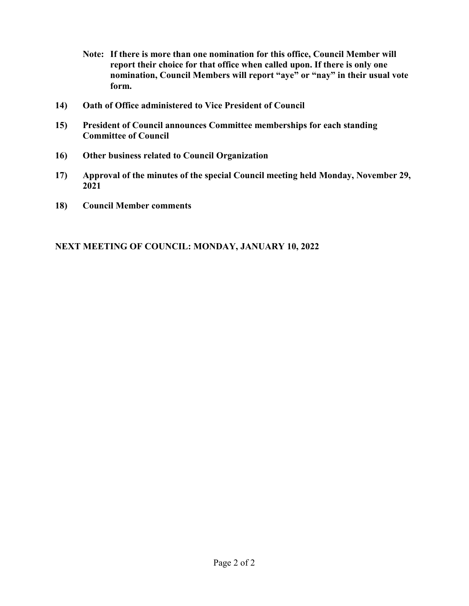- **Note: If there is more than one nomination for this office, Council Member will report their choice for that office when called upon. If there is only one nomination, Council Members will report "aye" or "nay" in their usual vote form.**
- **14) Oath of Office administered to Vice President of Council**
- **15) President of Council announces Committee memberships for each standing Committee of Council**
- **16) Other business related to Council Organization**
- **17) Approval of the minutes of the special Council meeting held Monday, November 29, 2021**
- **18) Council Member comments**

## **NEXT MEETING OF COUNCIL: MONDAY, JANUARY 10, 2022**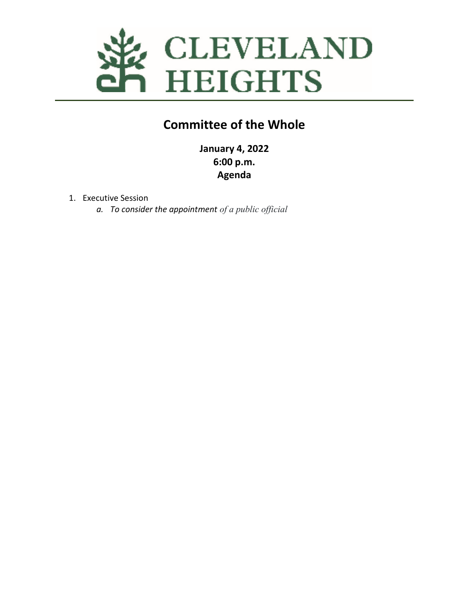

# **Committee of the Whole**

**January 4, 2022 6:00 p.m. Agenda** 

- 1. Executive Session
	- *a. To consider the appointment of a public official*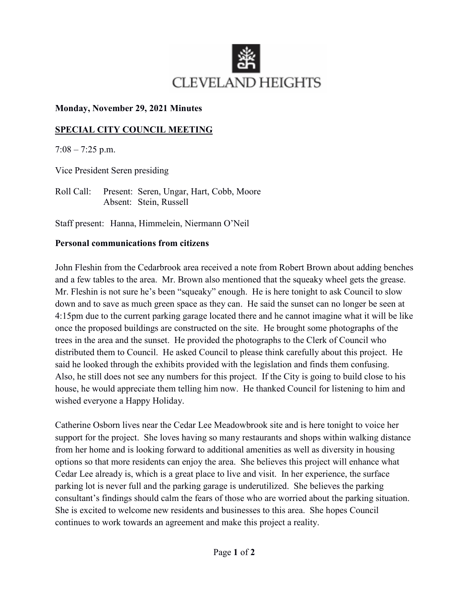

### **Monday, November 29, 2021 Minutes**

## **SPECIAL CITY COUNCIL MEETING**

 $7:08 - 7:25$  p.m.

Vice President Seren presiding

Roll Call: Present: Seren, Ungar, Hart, Cobb, Moore Absent: Stein, Russell

Staff present: Hanna, Himmelein, Niermann O'Neil

## **Personal communications from citizens**

John Fleshin from the Cedarbrook area received a note from Robert Brown about adding benches and a few tables to the area. Mr. Brown also mentioned that the squeaky wheel gets the grease. Mr. Fleshin is not sure he's been "squeaky" enough. He is here tonight to ask Council to slow down and to save as much green space as they can. He said the sunset can no longer be seen at 4:15pm due to the current parking garage located there and he cannot imagine what it will be like once the proposed buildings are constructed on the site. He brought some photographs of the trees in the area and the sunset. He provided the photographs to the Clerk of Council who distributed them to Council. He asked Council to please think carefully about this project. He said he looked through the exhibits provided with the legislation and finds them confusing. Also, he still does not see any numbers for this project. If the City is going to build close to his house, he would appreciate them telling him now. He thanked Council for listening to him and wished everyone a Happy Holiday.

Catherine Osborn lives near the Cedar Lee Meadowbrook site and is here tonight to voice her support for the project. She loves having so many restaurants and shops within walking distance from her home and is looking forward to additional amenities as well as diversity in housing options so that more residents can enjoy the area. She believes this project will enhance what Cedar Lee already is, which is a great place to live and visit. In her experience, the surface parking lot is never full and the parking garage is underutilized. She believes the parking consultant's findings should calm the fears of those who are worried about the parking situation. She is excited to welcome new residents and businesses to this area. She hopes Council continues to work towards an agreement and make this project a reality.